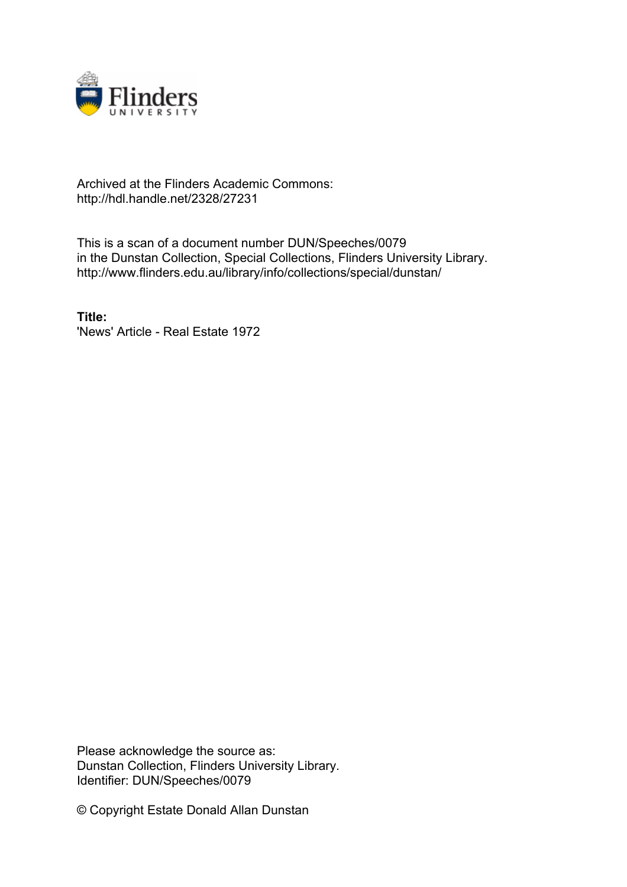

## Archived at the Flinders Academic Commons: http://hdl.handle.net/2328/27231

This is a scan of a document number DUN/Speeches/0079 in the Dunstan Collection, Special Collections, Flinders University Library. http://www.flinders.edu.au/library/info/collections/special/dunstan/

**Title:** 'News' Article - Real Estate 1972

Please acknowledge the source as: Dunstan Collection, Flinders University Library. Identifier: DUN/Speeches/0079

© Copyright Estate Donald Allan Dunstan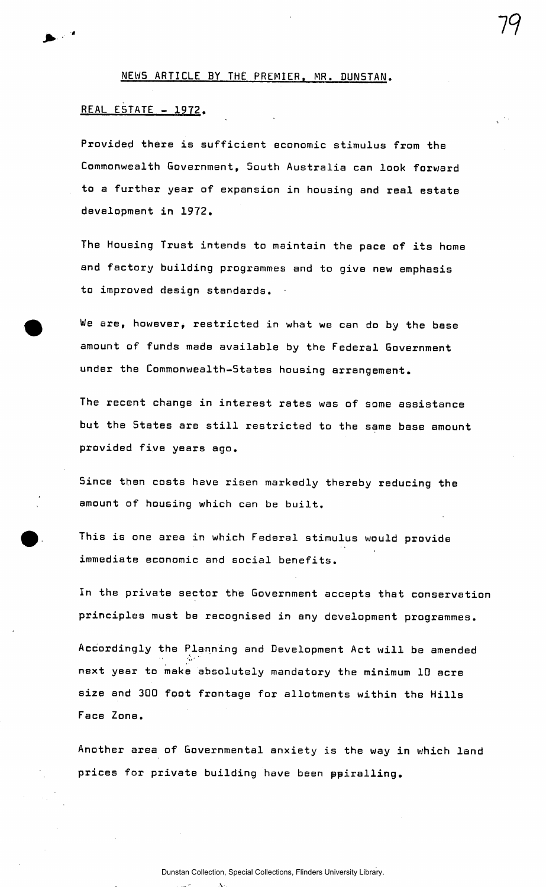NEWS ARTICLE BY THE PREMIER, MR. DUNSTAN.

## REAL E5TATE - 1972.

Provided there is sufficient economic stimulus from the Commonwealth Government, 5outh Australia can look forward to a further year of expansion in housing and real estate development in 1972.

The Housing Trust intends to maintain the pace of its home and factory building programmes and to give new emphasis to improved design standards.

We are, however, restricted in what we can do by the base amount of funds made available by the Federal Government under the Commonwealth-States housing arrangement.

The recent change in interest rates was of some assistance but the States are still restricted to the same base amount provided five years ago.

Since then costs have risen markedly thereby reducing the amount of housing which can be built.

This is one area in which Federal stimulus would provide immediate economic and social benefits.

In the private sector the Government accepts that conservation principles must be recognised in any development programmes.

Accordingly the Planning and Development Act will be amended next year to make absolutely mandatory the minimum ID acre size and 300 foot frontage for allotments within the Hills Face Zone.

Another area of Governmental anxiety is the way in which land prices for private building have been ppiralling.